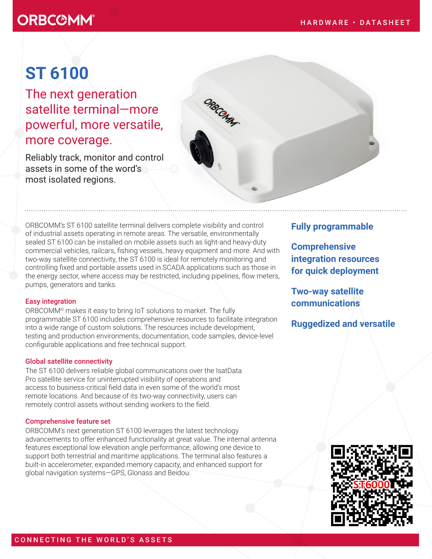# **ORBC@MM®**

# **ST 6100**

The next generation satellite terminal—more powerful, more versatile, more coverage.

Reliably track, monitor and control assets in some of the word's most isolated regions.



ORBCOMM's ST 6100 satellite terminal delivers complete visibility and control of industrial assets operating in remote areas. The versatile, environmentally sealed ST 6100 can be installed on mobile assets such as light-and heavy-duty commercial vehicles, railcars, fishing vessels, heavy equipment and more. And with two-way satellite connectivity, the ST 6100 is ideal for remotely monitoring and controlling fixed and portable assets used in SCADA applications such as those in the energy sector, where access may be restricted, including pipelines, flow meters, pumps, generators and tanks.

### Easy integration

ORBCOMM© makes it easy to bring IoT solutions to market. The fully programmable ST 6100 includes comprehensive resources to facilitate integration into a wide range of custom solutions. The resources include development, testing and production environments, documentation, code samples, device-level configurable applications and free technical support.

### Global satellite connectivity

The ST 6100 delivers reliable global communications over the IsatData Pro satellite service for uninterrupted visibility of operations and access to business-critical field data in even some of the world's most remote locations. And because of its two-way connectivity, users can remotely control assets without sending workers to the field.

#### Comprehensive feature set

ORBCOMM's next generation ST 6100 leverages the latest technology advancements to offer enhanced functionality at great value. The internal antenna features exceptional low elevation angle performance, allowing one device to support both terrestrial and maritime applications. The terminal also features a built-in accelerometer, expanded memory capacity, and enhanced support for global navigation systems—GPS, Glonass and Beidou.

## **Fully programmable**

**Comprehensive integration resources for quick deployment**

**Two-way satellite communications**

**Ruggedized and versatile**